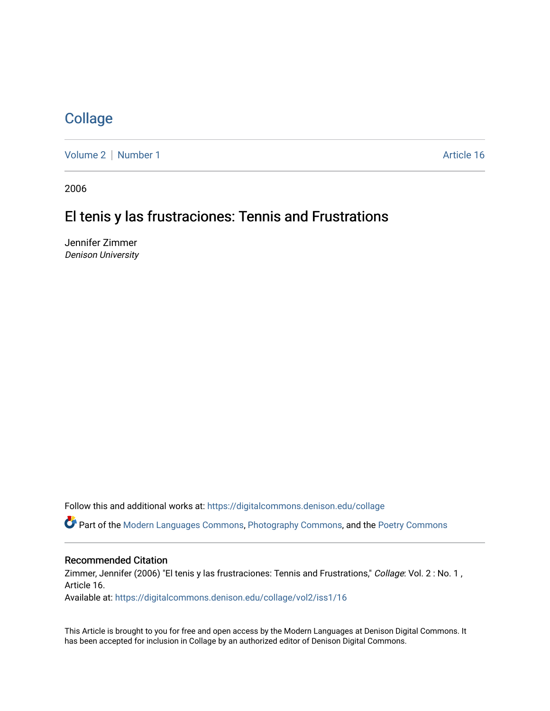## **[Collage](https://digitalcommons.denison.edu/collage)**

[Volume 2](https://digitalcommons.denison.edu/collage/vol2) | [Number 1](https://digitalcommons.denison.edu/collage/vol2/iss1) Article 16

2006

# El tenis y las frustraciones: Tennis and Frustrations

Jennifer Zimmer Denison University

Follow this and additional works at: [https://digitalcommons.denison.edu/collage](https://digitalcommons.denison.edu/collage?utm_source=digitalcommons.denison.edu%2Fcollage%2Fvol2%2Fiss1%2F16&utm_medium=PDF&utm_campaign=PDFCoverPages) 

Part of the [Modern Languages Commons,](http://network.bepress.com/hgg/discipline/1130?utm_source=digitalcommons.denison.edu%2Fcollage%2Fvol2%2Fiss1%2F16&utm_medium=PDF&utm_campaign=PDFCoverPages) [Photography Commons](http://network.bepress.com/hgg/discipline/1142?utm_source=digitalcommons.denison.edu%2Fcollage%2Fvol2%2Fiss1%2F16&utm_medium=PDF&utm_campaign=PDFCoverPages), and the [Poetry Commons](http://network.bepress.com/hgg/discipline/1153?utm_source=digitalcommons.denison.edu%2Fcollage%2Fvol2%2Fiss1%2F16&utm_medium=PDF&utm_campaign=PDFCoverPages)

### Recommended Citation

Zimmer, Jennifer (2006) "El tenis y las frustraciones: Tennis and Frustrations," Collage: Vol. 2 : No. 1, Article 16.

Available at: [https://digitalcommons.denison.edu/collage/vol2/iss1/16](https://digitalcommons.denison.edu/collage/vol2/iss1/16?utm_source=digitalcommons.denison.edu%2Fcollage%2Fvol2%2Fiss1%2F16&utm_medium=PDF&utm_campaign=PDFCoverPages)

This Article is brought to you for free and open access by the Modern Languages at Denison Digital Commons. It has been accepted for inclusion in Collage by an authorized editor of Denison Digital Commons.